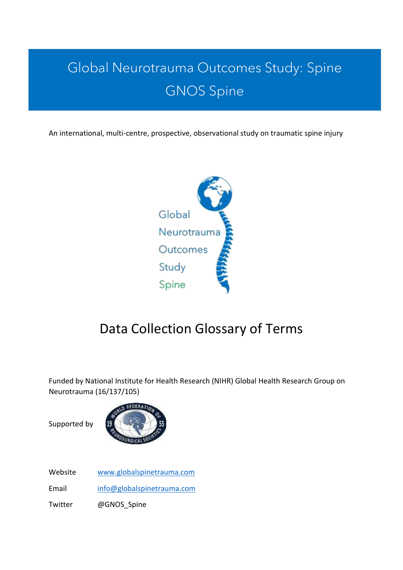# Global Neurotrauma Outcomes Study: Spine GNOS Spine

An international, multi-centre, prospective, observational study on traumatic spine injury



## Data Collection Glossary of Terms

Funded by National Institute for Health Research (NIHR) Global Health Research Group on Neurotrauma (16/137/105)

Supported by



Website [www.globalspinetrauma.com](http://www.globalspinetrauma.com/)

Email [info@globalspinetrauma.com](mailto:info@globalspinetrauma.com)

Twitter @GNOS\_Spine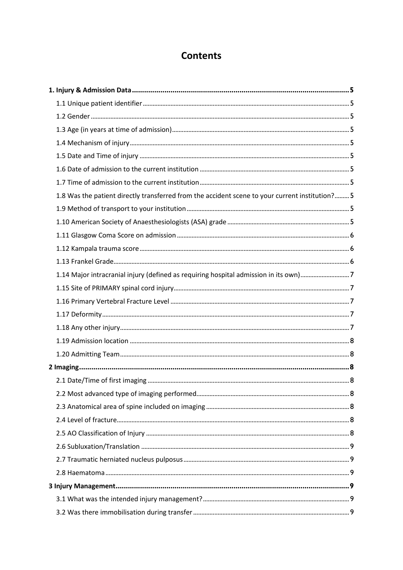## **Contents**

| 1.8 Was the patient directly transferred from the accident scene to your current institution? 5 |  |
|-------------------------------------------------------------------------------------------------|--|
|                                                                                                 |  |
|                                                                                                 |  |
|                                                                                                 |  |
|                                                                                                 |  |
|                                                                                                 |  |
| 1.14 Major intracranial injury (defined as requiring hospital admission in its own)7            |  |
|                                                                                                 |  |
|                                                                                                 |  |
|                                                                                                 |  |
|                                                                                                 |  |
|                                                                                                 |  |
|                                                                                                 |  |
|                                                                                                 |  |
|                                                                                                 |  |
|                                                                                                 |  |
|                                                                                                 |  |
|                                                                                                 |  |
|                                                                                                 |  |
|                                                                                                 |  |
|                                                                                                 |  |
|                                                                                                 |  |
|                                                                                                 |  |
|                                                                                                 |  |
|                                                                                                 |  |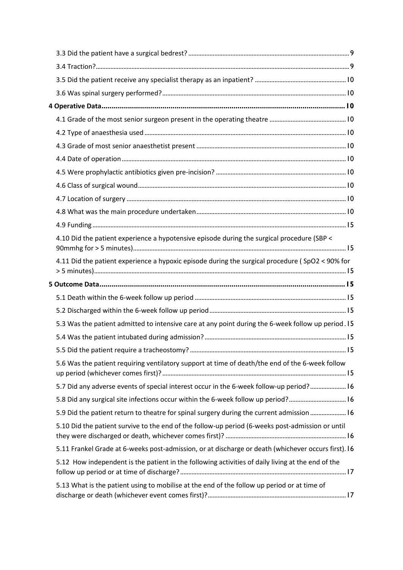| 4.10 Did the patient experience a hypotensive episode during the surgical procedure (SBP <          |  |
|-----------------------------------------------------------------------------------------------------|--|
| 4.11 Did the patient experience a hypoxic episode during the surgical procedure (SpO2 < 90% for     |  |
|                                                                                                     |  |
|                                                                                                     |  |
|                                                                                                     |  |
| 5.3 Was the patient admitted to intensive care at any point during the 6-week follow up period. 15  |  |
|                                                                                                     |  |
|                                                                                                     |  |
| 5.6 Was the patient requiring ventilatory support at time of death/the end of the 6-week follow     |  |
| 5.7 Did any adverse events of special interest occur in the 6-week follow-up period? 16             |  |
| 5.8 Did any surgical site infections occur within the 6-week follow up period? 16                   |  |
| 5.9 Did the patient return to theatre for spinal surgery during the current admission  16           |  |
| 5.10 Did the patient survive to the end of the follow-up period (6-weeks post-admission or until    |  |
| 5.11 Frankel Grade at 6-weeks post-admission, or at discharge or death (whichever occurs first). 16 |  |
| 5.12 How independent is the patient in the following activities of daily living at the end of the   |  |
| 5.13 What is the patient using to mobilise at the end of the follow up period or at time of         |  |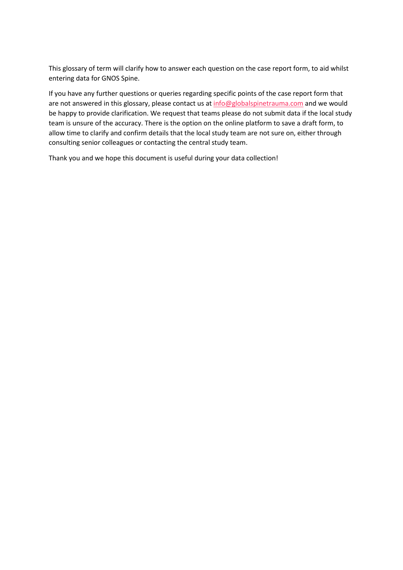This glossary of term will clarify how to answer each question on the case report form, to aid whilst entering data for GNOS Spine.

If you have any further questions or queries regarding specific points of the case report form that are not answered in this glossary, please contact us at [info@globalspinetrauma.com](mailto:info@globalspinetrauma.com) and we would be happy to provide clarification. We request that teams please do not submit data if the local study team is unsure of the accuracy. There is the option on the online platform to save a draft form, to allow time to clarify and confirm details that the local study team are not sure on, either through consulting senior colleagues or contacting the central study team.

Thank you and we hope this document is useful during your data collection!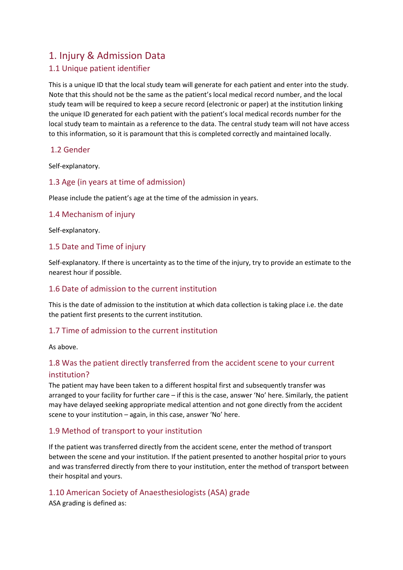## <span id="page-4-0"></span>1. Injury & Admission Data

## <span id="page-4-1"></span>1.1 Unique patient identifier

This is a unique ID that the local study team will generate for each patient and enter into the study. Note that this should not be the same as the patient's local medical record number, and the local study team will be required to keep a secure record (electronic or paper) at the institution linking the unique ID generated for each patient with the patient's local medical records number for the local study team to maintain as a reference to the data. The central study team will not have access to this information, so it is paramount that this is completed correctly and maintained locally.

#### <span id="page-4-2"></span>1.2 Gender

Self-explanatory.

#### <span id="page-4-3"></span>1.3 Age (in years at time of admission)

Please include the patient's age at the time of the admission in years.

#### <span id="page-4-4"></span>1.4 Mechanism of injury

Self-explanatory.

#### <span id="page-4-5"></span>1.5 Date and Time of injury

Self-explanatory. If there is uncertainty as to the time of the injury, try to provide an estimate to the nearest hour if possible.

#### <span id="page-4-6"></span>1.6 Date of admission to the current institution

This is the date of admission to the institution at which data collection is taking place i.e. the date the patient first presents to the current institution.

#### <span id="page-4-7"></span>1.7 Time of admission to the current institution

As above.

## <span id="page-4-8"></span>1.8 Was the patient directly transferred from the accident scene to your current institution?

The patient may have been taken to a different hospital first and subsequently transfer was arranged to your facility for further care – if this is the case, answer 'No' here. Similarly, the patient may have delayed seeking appropriate medical attention and not gone directly from the accident scene to your institution – again, in this case, answer 'No' here.

#### <span id="page-4-9"></span>1.9 Method of transport to your institution

If the patient was transferred directly from the accident scene, enter the method of transport between the scene and your institution. If the patient presented to another hospital prior to yours and was transferred directly from there to your institution, enter the method of transport between their hospital and yours.

<span id="page-4-10"></span>1.10 American Society of Anaesthesiologists (ASA) grade

ASA grading is defined as: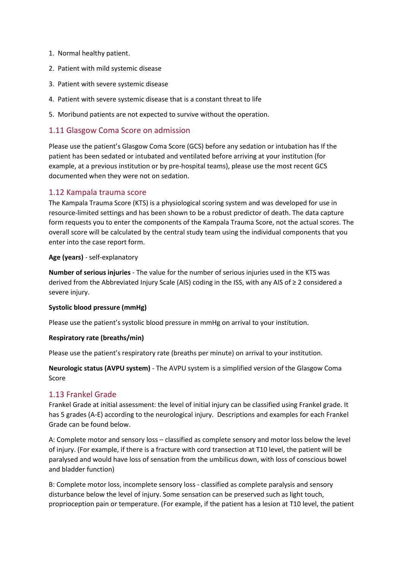- 1. Normal healthy patient.
- 2. Patient with mild systemic disease
- 3. Patient with severe systemic disease
- 4. Patient with severe systemic disease that is a constant threat to life
- 5. Moribund patients are not expected to survive without the operation.

#### <span id="page-5-0"></span>1.11 Glasgow Coma Score on admission

Please use the patient's Glasgow Coma Score (GCS) before any sedation or intubation has If the patient has been sedated or intubated and ventilated before arriving at your institution (for example, at a previous institution or by pre-hospital teams), please use the most recent GCS documented when they were not on sedation.

#### <span id="page-5-1"></span>1.12 Kampala trauma score

The Kampala Trauma Score (KTS) is a physiological scoring system and was developed for use in resource-limited settings and has been shown to be a robust predictor of death. The data capture form requests you to enter the components of the Kampala Trauma Score, not the actual scores. The overall score will be calculated by the central study team using the individual components that you enter into the case report form.

#### **Age (years)** - self-explanatory

**Number of serious injuries** - The value for the number of serious injuries used in the KTS was derived from the Abbreviated Injury Scale (AIS) coding in the ISS, with any AIS of ≥ 2 considered a severe injury.

#### **Systolic blood pressure (mmHg)**

Please use the patient's systolic blood pressure in mmHg on arrival to your institution.

#### **Respiratory rate (breaths/min)**

Please use the patient's respiratory rate (breaths per minute) on arrival to your institution.

**Neurologic status (AVPU system)** - The AVPU system is a simplified version of the Glasgow Coma Score

#### <span id="page-5-2"></span>1.13 Frankel Grade

Frankel Grade at initial assessment: the level of initial injury can be classified using Frankel grade. It has 5 grades (A-E) according to the neurological injury. Descriptions and examples for each Frankel Grade can be found below.

A: Complete motor and sensory loss – classified as complete sensory and motor loss below the level of injury. (For example, if there is a fracture with cord transection at T10 level, the patient will be paralysed and would have loss of sensation from the umbilicus down, with loss of conscious bowel and bladder function)

B: Complete motor loss, incomplete sensory loss - classified as complete paralysis and sensory disturbance below the level of injury. Some sensation can be preserved such as light touch, proprioception pain or temperature. (For example, if the patient has a lesion at T10 level, the patient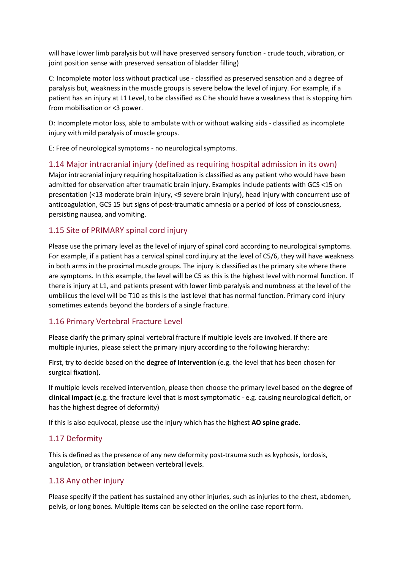will have lower limb paralysis but will have preserved sensory function - crude touch, vibration, or joint position sense with preserved sensation of bladder filling)

C: Incomplete motor loss without practical use - classified as preserved sensation and a degree of paralysis but, weakness in the muscle groups is severe below the level of injury. For example, if a patient has an injury at L1 Level, to be classified as C he should have a weakness that is stopping him from mobilisation or <3 power.

D: Incomplete motor loss, able to ambulate with or without walking aids - classified as incomplete injury with mild paralysis of muscle groups.

E: Free of neurological symptoms - no neurological symptoms.

#### <span id="page-6-0"></span>1.14 Major intracranial injury (defined as requiring hospital admission in its own)

Major intracranial injury requiring hospitalization is classified as any patient who would have been admitted for observation after traumatic brain injury. Examples include patients with GCS <15 on presentation (<13 moderate brain injury, <9 severe brain injury), head injury with concurrent use of anticoagulation, GCS 15 but signs of post-traumatic amnesia or a period of loss of consciousness, persisting nausea, and vomiting.

#### <span id="page-6-1"></span>1.15 Site of PRIMARY spinal cord injury

Please use the primary level as the level of injury of spinal cord according to neurological symptoms. For example, if a patient has a cervical spinal cord injury at the level of C5/6, they will have weakness in both arms in the proximal muscle groups. The injury is classified as the primary site where there are symptoms. In this example, the level will be C5 as this is the highest level with normal function. If there is injury at L1, and patients present with lower limb paralysis and numbness at the level of the umbilicus the level will be T10 as this is the last level that has normal function. Primary cord injury sometimes extends beyond the borders of a single fracture.

#### <span id="page-6-2"></span>1.16 Primary Vertebral Fracture Level

Please clarify the primary spinal vertebral fracture if multiple levels are involved. If there are multiple injuries, please select the primary injury according to the following hierarchy:

First, try to decide based on the **degree of intervention** (e.g. the level that has been chosen for surgical fixation).

If multiple levels received intervention, please then choose the primary level based on the **degree of clinical impact** (e.g. the fracture level that is most symptomatic - e.g. causing neurological deficit, or has the highest degree of deformity)

If this is also equivocal, please use the injury which has the highest **AO spine grade**.

#### <span id="page-6-3"></span>1.17 Deformity

This is defined as the presence of any new deformity post-trauma such as kyphosis, lordosis, angulation, or translation between vertebral levels.

#### <span id="page-6-4"></span>1.18 Any other injury

Please specify if the patient has sustained any other injuries, such as injuries to the chest, abdomen, pelvis, or long bones. Multiple items can be selected on the online case report form.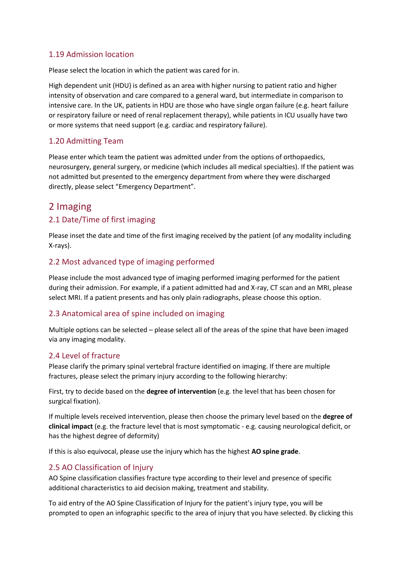#### <span id="page-7-0"></span>1.19 Admission location

Please select the location in which the patient was cared for in.

High dependent unit (HDU) is defined as an area with higher nursing to patient ratio and higher intensity of observation and care compared to a general ward, but intermediate in comparison to intensive care. In the UK, patients in HDU are those who have single organ failure (e.g. heart failure or respiratory failure or need of renal replacement therapy), while patients in ICU usually have two or more systems that need support (e.g. cardiac and respiratory failure).

#### <span id="page-7-1"></span>1.20 Admitting Team

Please enter which team the patient was admitted under from the options of orthopaedics, neurosurgery, general surgery, or medicine (which includes all medical specialties). If the patient was not admitted but presented to the emergency department from where they were discharged directly, please select "Emergency Department".

## <span id="page-7-2"></span>2 Imaging

#### <span id="page-7-3"></span>2.1 Date/Time of first imaging

Please inset the date and time of the first imaging received by the patient (of any modality including X-rays).

#### <span id="page-7-4"></span>2.2 Most advanced type of imaging performed

Please include the most advanced type of imaging performed imaging performed for the patient during their admission. For example, if a patient admitted had and X-ray, CT scan and an MRI, please select MRI. If a patient presents and has only plain radiographs, please choose this option.

#### <span id="page-7-5"></span>2.3 Anatomical area of spine included on imaging

Multiple options can be selected – please select all of the areas of the spine that have been imaged via any imaging modality.

#### <span id="page-7-6"></span>2.4 Level of fracture

Please clarify the primary spinal vertebral fracture identified on imaging. If there are multiple fractures, please select the primary injury according to the following hierarchy:

First, try to decide based on the **degree of intervention** (e.g. the level that has been chosen for surgical fixation).

If multiple levels received intervention, please then choose the primary level based on the **degree of clinical impact** (e.g. the fracture level that is most symptomatic - e.g. causing neurological deficit, or has the highest degree of deformity)

If this is also equivocal, please use the injury which has the highest **AO spine grade**.

#### <span id="page-7-7"></span>2.5 AO Classification of Injury

AO Spine classification classifies fracture type according to their level and presence of specific additional characteristics to aid decision making, treatment and stability.

To aid entry of the AO Spine Classification of Injury for the patient's injury type, you will be prompted to open an infographic specific to the area of injury that you have selected. By clicking this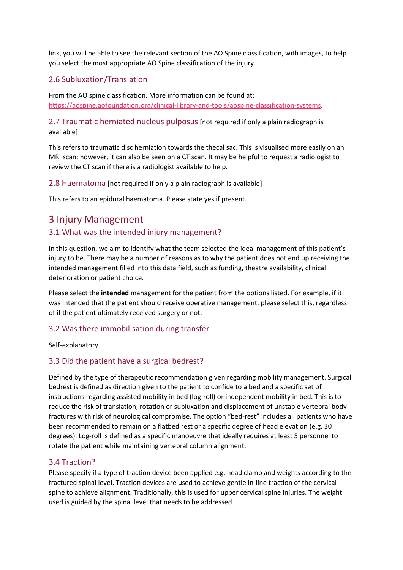link, you will be able to see the relevant section of the AO Spine classification, with images, to help you select the most appropriate AO Spine classification of the injury.

#### <span id="page-8-0"></span>2.6 Subluxation/Translation

From the AO spine classification. More information can be found at: [https://aospine.aofoundation.org/clinical-library-and-tools/aospine-classification-systems.](https://aospine.aofoundation.org/clinical-library-and-tools/aospine-classification-systems)

<span id="page-8-1"></span>2.7 Traumatic herniated nucleus pulposus [not required if only a plain radiograph is available]

This refers to traumatic disc herniation towards the thecal sac. This is visualised more easily on an MRI scan; however, it can also be seen on a CT scan. It may be helpful to request a radiologist to review the CT scan if there is a radiologist available to help.

<span id="page-8-2"></span>2.8 Haematoma [not required if only a plain radiograph is available]

This refers to an epidural haematoma. Please state yes if present.

## <span id="page-8-3"></span>3 Injury Management

#### <span id="page-8-4"></span>3.1 What was the intended injury management?

In this question, we aim to identify what the team selected the ideal management of this patient's injury to be. There may be a number of reasons as to why the patient does not end up receiving the intended management filled into this data field, such as funding, theatre availability, clinical deterioration or patient choice.

Please select the **intended** management for the patient from the options listed. For example, if it was intended that the patient should receive operative management, please select this, regardless of if the patient ultimately received surgery or not.

#### <span id="page-8-5"></span>3.2 Was there immobilisation during transfer

Self-explanatory.

#### <span id="page-8-6"></span>3.3 Did the patient have a surgical bedrest?

Defined by the type of therapeutic recommendation given regarding mobility management. Surgical bedrest is defined as direction given to the patient to confide to a bed and a specific set of instructions regarding assisted mobility in bed (log-roll) or independent mobility in bed. This is to reduce the risk of translation, rotation or subluxation and displacement of unstable vertebral body fractures with risk of neurological compromise. The option "bed-rest" includes all patients who have been recommended to remain on a flatbed rest or a specific degree of head elevation (e.g. 30 degrees). Log-roll is defined as a specific manoeuvre that ideally requires at least 5 personnel to rotate the patient while maintaining vertebral column alignment.

#### <span id="page-8-7"></span>3.4 Traction?

Please specify if a type of traction device been applied e.g. head clamp and weights according to the fractured spinal level. Traction devices are used to achieve gentle in-line traction of the cervical spine to achieve alignment. Traditionally, this is used for upper cervical spine injuries. The weight used is guided by the spinal level that needs to be addressed.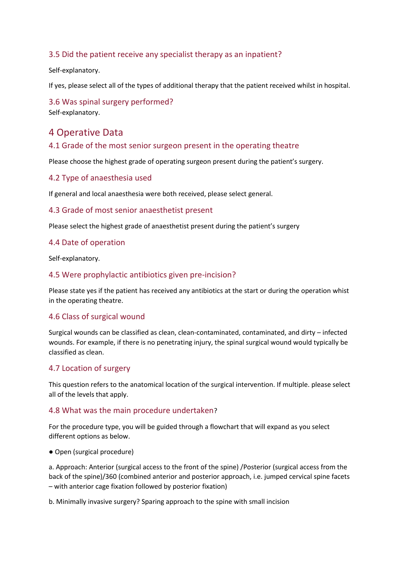#### <span id="page-9-0"></span>3.5 Did the patient receive any specialist therapy as an inpatient?

Self-explanatory.

If yes, please select all of the types of additional therapy that the patient received whilst in hospital.

<span id="page-9-1"></span>3.6 Was spinal surgery performed? Self-explanatory.

## <span id="page-9-2"></span>4 Operative Data

#### <span id="page-9-3"></span>4.1 Grade of the most senior surgeon present in the operating theatre

Please choose the highest grade of operating surgeon present during the patient's surgery.

#### <span id="page-9-4"></span>4.2 Type of anaesthesia used

If general and local anaesthesia were both received, please select general.

#### <span id="page-9-5"></span>4.3 Grade of most senior anaesthetist present

Please select the highest grade of anaesthetist present during the patient's surgery

#### <span id="page-9-6"></span>4.4 Date of operation

Self-explanatory.

#### <span id="page-9-7"></span>4.5 Were prophylactic antibiotics given pre-incision?

Please state yes if the patient has received any antibiotics at the start or during the operation whist in the operating theatre.

#### <span id="page-9-8"></span>4.6 Class of surgical wound

Surgical wounds can be classified as clean, clean-contaminated, contaminated, and dirty – infected wounds. For example, if there is no penetrating injury, the spinal surgical wound would typically be classified as clean.

#### <span id="page-9-9"></span>4.7 Location of surgery

This question refers to the anatomical location of the surgical intervention. If multiple. please select all of the levels that apply.

#### <span id="page-9-10"></span>4.8 What was the main procedure undertaken?

For the procedure type, you will be guided through a flowchart that will expand as you select different options as below.

● Open (surgical procedure)

a. Approach: Anterior (surgical access to the front of the spine) /Posterior (surgical access from the back of the spine)/360 (combined anterior and posterior approach, i.e. jumped cervical spine facets – with anterior cage fixation followed by posterior fixation)

b. Minimally invasive surgery? Sparing approach to the spine with small incision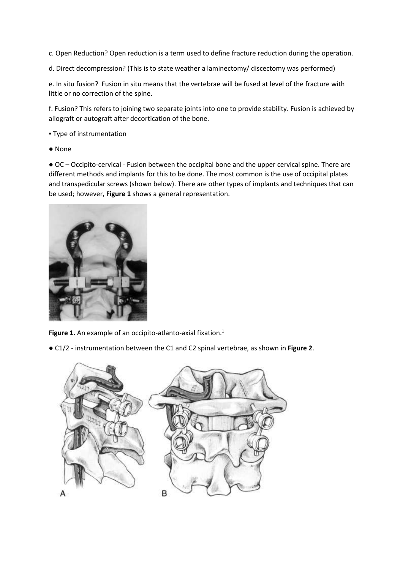- c. Open Reduction? Open reduction is a term used to define fracture reduction during the operation.
- d. Direct decompression? (This is to state weather a laminectomy/ discectomy was performed)

e. In situ fusion? Fusion in situ means that the vertebrae will be fused at level of the fracture with little or no correction of the spine.

f. Fusion? This refers to joining two separate joints into one to provide stability. Fusion is achieved by allograft or autograft after decortication of the bone.

- Type of instrumentation
- None

● OC – Occipito-cervical - Fusion between the occipital bone and the upper cervical spine. There are different methods and implants for this to be done. The most common is the use of occipital plates and transpedicular screws (shown below). There are other types of implants and techniques that can be used; however, **Figure 1** shows a general representation.



**Figure 1.** An example of an occipito-atlanto-axial fixation. 1

● C1/2 - instrumentation between the C1 and C2 spinal vertebrae, as shown in **Figure 2**.

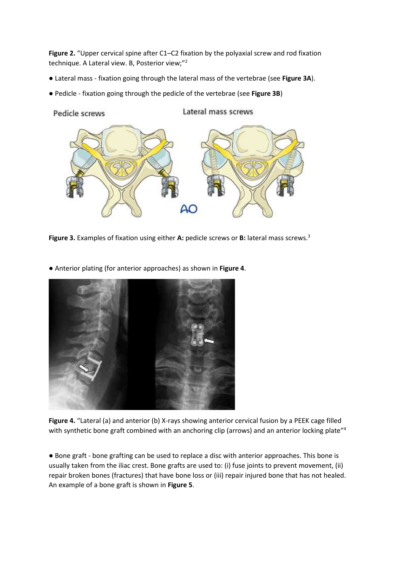Figure 2. "Upper cervical spine after C1–C2 fixation by the polyaxial screw and rod fixation technique. A Lateral view. B, Posterior view;" 2

- Lateral mass fixation going through the lateral mass of the vertebrae (see **Figure 3A**).
- Pedicle fixation going through the pedicle of the vertebrae (see **Figure 3B**)



**Figure 3.** Examples of fixation using either **A:** pedicle screws or **B:** lateral mass screws.<sup>3</sup>

● Anterior plating (for anterior approaches) as shown in **Figure 4**.



Figure 4. "Lateral (a) and anterior (b) X-rays showing anterior cervical fusion by a PEEK cage filled with synthetic bone graft combined with an anchoring clip (arrows) and an anterior locking plate"<sup>4</sup>

● Bone graft - bone grafting can be used to replace a disc with anterior approaches. This bone is usually taken from the iliac crest. Bone grafts are used to: (i) fuse joints to prevent movement, (ii) repair broken bones (fractures) that have bone loss or (iii) repair injured bone that has not healed. An example of a bone graft is shown in **Figure 5**.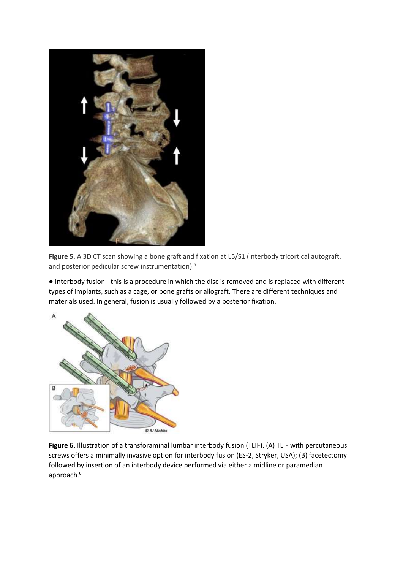

**Figure 5**. A 3D CT scan showing a bone graft and fixation at L5/S1 (interbody tricortical autograft, and posterior pedicular screw instrumentation).<sup>5</sup>

● Interbody fusion - this is a procedure in which the disc is removed and is replaced with different types of implants, such as a cage, or bone grafts or allograft. There are different techniques and materials used. In general, fusion is usually followed by a posterior fixation.



**Figure 6.** Illustration of a transforaminal lumbar interbody fusion (TLIF). (A) TLIF with percutaneous screws offers a minimally invasive option for interbody fusion (ES-2, Stryker, USA); (B) facetectomy followed by insertion of an interbody device performed via either a midline or paramedian approach.<sup>6</sup>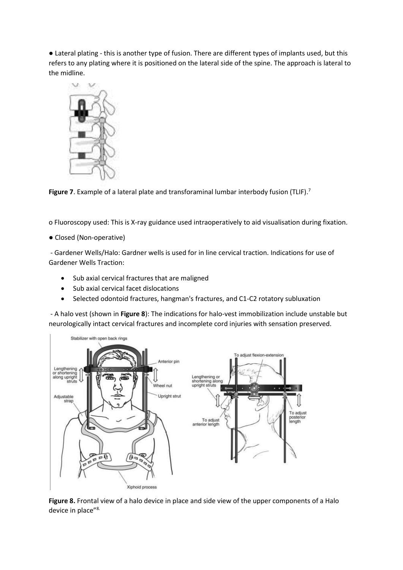● Lateral plating - this is another type of fusion. There are different types of implants used, but this refers to any plating where it is positioned on the lateral side of the spine. The approach is lateral to the midline.



**Figure 7**. Example of a lateral plate and transforaminal lumbar interbody fusion (TLIF).<sup>7</sup>

o Fluoroscopy used: This is X-ray guidance used intraoperatively to aid visualisation during fixation.

● Closed (Non-operative)

- Gardener Wells/Halo: Gardner wells is used for in line cervical traction. Indications for use of Gardener Wells Traction:

- Sub axial cervical fractures that are maligned
- Sub axial cervical facet dislocations
- Selected odontoid fractures, hangman's fractures, and C1-C2 rotatory subluxation

- A halo vest (shown in **Figure 8**): The indications for halo-vest immobilization include unstable but neurologically intact cervical fractures and incomplete cord injuries with sensation preserved.



Figure 8. Frontal view of a halo device in place and side view of the upper components of a Halo device in place"<sup>8.</sup>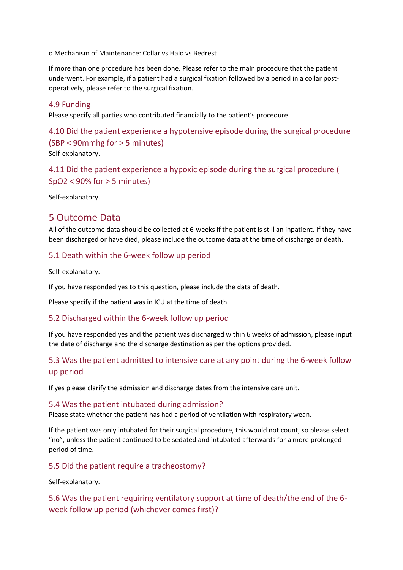o Mechanism of Maintenance: Collar vs Halo vs Bedrest

If more than one procedure has been done. Please refer to the main procedure that the patient underwent. For example, if a patient had a surgical fixation followed by a period in a collar postoperatively, please refer to the surgical fixation.

#### <span id="page-14-0"></span>4.9 Funding

Please specify all parties who contributed financially to the patient's procedure.

## <span id="page-14-1"></span>4.10 Did the patient experience a hypotensive episode during the surgical procedure (SBP < 90mmhg for > 5 minutes) Self-explanatory.

<span id="page-14-2"></span>4.11 Did the patient experience a hypoxic episode during the surgical procedure ( SpO2 < 90% for > 5 minutes)

Self-explanatory.

## <span id="page-14-3"></span>5 Outcome Data

All of the outcome data should be collected at 6-weeks if the patient is still an inpatient. If they have been discharged or have died, please include the outcome data at the time of discharge or death.

#### <span id="page-14-4"></span>5.1 Death within the 6-week follow up period

Self-explanatory.

If you have responded yes to this question, please include the data of death.

Please specify if the patient was in ICU at the time of death.

#### <span id="page-14-5"></span>5.2 Discharged within the 6-week follow up period

If you have responded yes and the patient was discharged within 6 weeks of admission, please input the date of discharge and the discharge destination as per the options provided.

## <span id="page-14-6"></span>5.3 Was the patient admitted to intensive care at any point during the 6-week follow up period

If yes please clarify the admission and discharge dates from the intensive care unit.

#### <span id="page-14-7"></span>5.4 Was the patient intubated during admission?

Please state whether the patient has had a period of ventilation with respiratory wean.

If the patient was only intubated for their surgical procedure, this would not count, so please select "no", unless the patient continued to be sedated and intubated afterwards for a more prolonged period of time.

#### <span id="page-14-8"></span>5.5 Did the patient require a tracheostomy?

Self-explanatory.

## <span id="page-14-9"></span>5.6 Was the patient requiring ventilatory support at time of death/the end of the 6 week follow up period (whichever comes first)?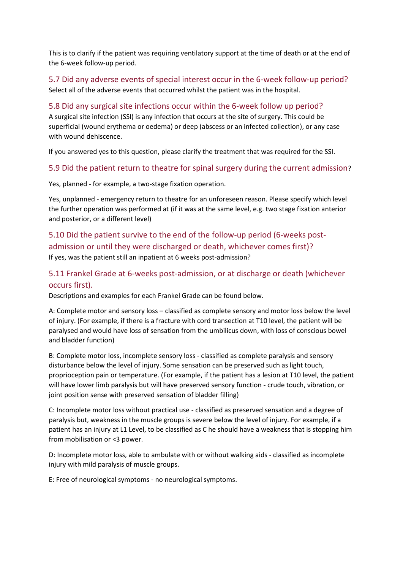This is to clarify if the patient was requiring ventilatory support at the time of death or at the end of the 6-week follow-up period.

#### <span id="page-15-0"></span>5.7 Did any adverse events of special interest occur in the 6-week follow-up period? Select all of the adverse events that occurred whilst the patient was in the hospital.

#### <span id="page-15-1"></span>5.8 Did any surgical site infections occur within the 6-week follow up period? A surgical site infection (SSI) is any infection that occurs at the site of surgery. This could be superficial (wound erythema or oedema) or deep (abscess or an infected collection), or any case with wound dehiscence.

If you answered yes to this question, please clarify the treatment that was required for the SSI.

#### <span id="page-15-2"></span>5.9 Did the patient return to theatre for spinal surgery during the current admission?

Yes, planned - for example, a two-stage fixation operation.

Yes, unplanned - emergency return to theatre for an unforeseen reason. Please specify which level the further operation was performed at (if it was at the same level, e.g. two stage fixation anterior and posterior, or a different level)

## <span id="page-15-3"></span>5.10 Did the patient survive to the end of the follow-up period (6-weeks postadmission or until they were discharged or death, whichever comes first)?

If yes, was the patient still an inpatient at 6 weeks post-admission?

### <span id="page-15-4"></span>5.11 Frankel Grade at 6-weeks post-admission, or at discharge or death (whichever occurs first).

Descriptions and examples for each Frankel Grade can be found below.

A: Complete motor and sensory loss – classified as complete sensory and motor loss below the level of injury. (For example, if there is a fracture with cord transection at T10 level, the patient will be paralysed and would have loss of sensation from the umbilicus down, with loss of conscious bowel and bladder function)

B: Complete motor loss, incomplete sensory loss - classified as complete paralysis and sensory disturbance below the level of injury. Some sensation can be preserved such as light touch, proprioception pain or temperature. (For example, if the patient has a lesion at T10 level, the patient will have lower limb paralysis but will have preserved sensory function - crude touch, vibration, or joint position sense with preserved sensation of bladder filling)

C: Incomplete motor loss without practical use - classified as preserved sensation and a degree of paralysis but, weakness in the muscle groups is severe below the level of injury. For example, if a patient has an injury at L1 Level, to be classified as C he should have a weakness that is stopping him from mobilisation or <3 power.

D: Incomplete motor loss, able to ambulate with or without walking aids - classified as incomplete injury with mild paralysis of muscle groups.

E: Free of neurological symptoms - no neurological symptoms.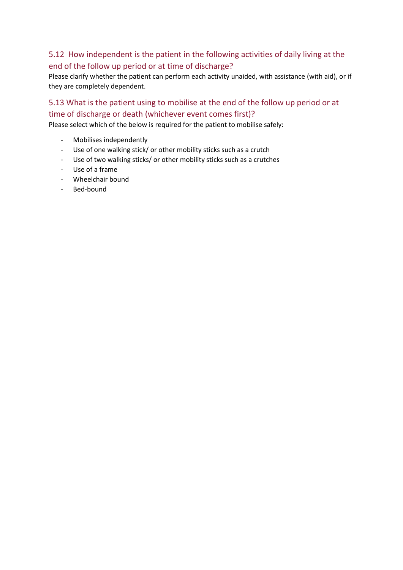## <span id="page-16-0"></span>5.12 How independent is the patient in the following activities of daily living at the end of the follow up period or at time of discharge?

Please clarify whether the patient can perform each activity unaided, with assistance (with aid), or if they are completely dependent.

## <span id="page-16-1"></span>5.13 What is the patient using to mobilise at the end of the follow up period or at time of discharge or death (whichever event comes first)?

Please select which of the below is required for the patient to mobilise safely:

- Mobilises independently
- Use of one walking stick/ or other mobility sticks such as a crutch
- Use of two walking sticks/ or other mobility sticks such as a crutches
- Use of a frame
- Wheelchair bound
- Bed-bound